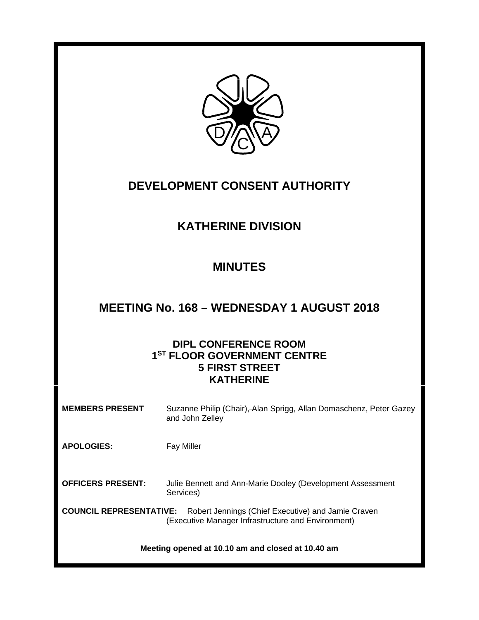

# **DEVELOPMENT CONSENT AUTHORITY**

# **KATHERINE DIVISION**

# **MINUTES**

## **MEETING No. 168 – WEDNESDAY 1 AUGUST 2018**

### **DIPL CONFERENCE ROOM 1ST FLOOR GOVERNMENT CENTRE 5 FIRST STREET KATHERINE**

| <b>MEMBERS PRESENT</b>                                                                                                                     | Suzanne Philip (Chair), Alan Sprigg, Allan Domaschenz, Peter Gazey<br>and John Zelley |  |
|--------------------------------------------------------------------------------------------------------------------------------------------|---------------------------------------------------------------------------------------|--|
| <b>APOLOGIES:</b>                                                                                                                          | <b>Fay Miller</b>                                                                     |  |
| <b>OFFICERS PRESENT:</b>                                                                                                                   | Julie Bennett and Ann-Marie Dooley (Development Assessment<br>Services)               |  |
| <b>COUNCIL REPRESENTATIVE:</b><br>Robert Jennings (Chief Executive) and Jamie Craven<br>(Executive Manager Infrastructure and Environment) |                                                                                       |  |
| Meeting opened at 10.10 am and closed at 10.40 am                                                                                          |                                                                                       |  |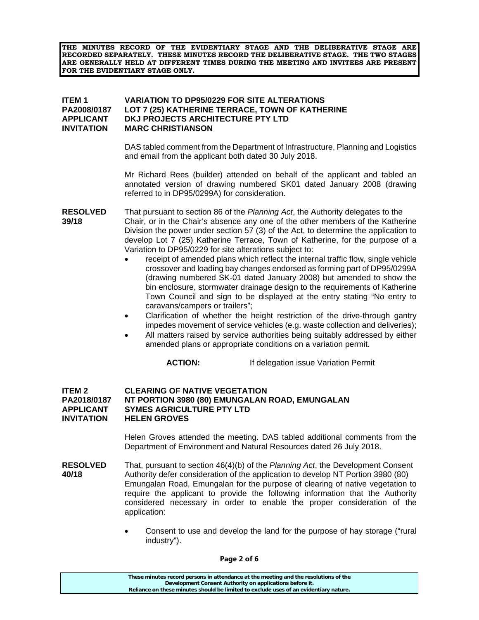**THE MINUTES RECORD OF THE EVIDENTIARY STAGE AND THE DELIBERATIVE STAGE ARE RECORDED SEPARATELY. THESE MINUTES RECORD THE DELIBERATIVE STAGE. THE TWO STAGES ARE GENERALLY HELD AT DIFFERENT TIMES DURING THE MEETING AND INVITEES ARE PRESENT FOR THE EVIDENTIARY STAGE ONLY.** 

### **ITEM 1 VARIATION TO DP95/0229 FOR SITE ALTERATIONS PA2008/0187 LOT 7 (25) KATHERINE TERRACE, TOWN OF KATHERINE APPLICANT DKJ PROJECTS ARCHITECTURE PTY LTD INVITATION MARC CHRISTIANSON**

 DAS tabled comment from the Department of Infrastructure, Planning and Logistics and email from the applicant both dated 30 July 2018.

 Mr Richard Rees (builder) attended on behalf of the applicant and tabled an annotated version of drawing numbered SK01 dated January 2008 (drawing referred to in DP95/0299A) for consideration.

- **RESOLVED** That pursuant to section 86 of the *Planning Act*, the Authority delegates to the **39/18** Chair, or in the Chair's absence any one of the other members of the Katherine Division the power under section 57 (3) of the Act, to determine the application to develop Lot 7 (25) Katherine Terrace, Town of Katherine, for the purpose of a Variation to DP95/0229 for site alterations subject to:
	- receipt of amended plans which reflect the internal traffic flow, single vehicle crossover and loading bay changes endorsed as forming part of DP95/0299A (drawing numbered SK-01 dated January 2008) but amended to show the bin enclosure, stormwater drainage design to the requirements of Katherine Town Council and sign to be displayed at the entry stating "No entry to caravans/campers or trailers";
	- Clarification of whether the height restriction of the drive-through gantry impedes movement of service vehicles (e.g. waste collection and deliveries);
	- All matters raised by service authorities being suitably addressed by either amended plans or appropriate conditions on a variation permit.

**ACTION:** If delegation issue Variation Permit

#### **ITEM 2 CLEARING OF NATIVE VEGETATION PA2018/0187 NT PORTION 3980 (80) EMUNGALAN ROAD, EMUNGALAN APPLICANT SYMES AGRICULTURE PTY LTD INVITATION HELEN GROVES**

Helen Groves attended the meeting. DAS tabled additional comments from the Department of Environment and Natural Resources dated 26 July 2018.

- **RESOLVED** That, pursuant to section 46(4)(b) of the *Planning Act*, the Development Consent **40/18** Authority defer consideration of the application to develop NT Portion 3980 (80) Emungalan Road, Emungalan for the purpose of clearing of native vegetation to require the applicant to provide the following information that the Authority considered necessary in order to enable the proper consideration of the application:
	- Consent to use and develop the land for the purpose of hay storage ("rural industry").

| These minutes record persons in attendance at the meeting and the resolutions of the  |  |
|---------------------------------------------------------------------------------------|--|
| Development Consent Authority on applications before it.                              |  |
| Reliance on these minutes should be limited to exclude uses of an evidentiary nature. |  |
|                                                                                       |  |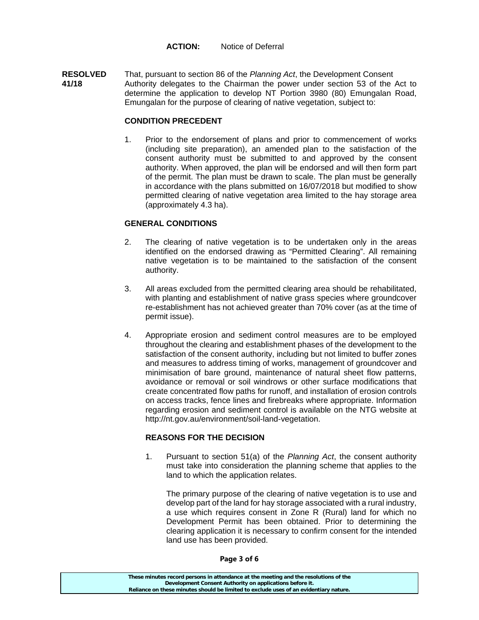**ACTION:** Notice of Deferral

**RESOLVED** That, pursuant to section 86 of the *Planning Act*, the Development Consent **41/18** Authority delegates to the Chairman the power under section 53 of the Act to determine the application to develop NT Portion 3980 (80) Emungalan Road, Emungalan for the purpose of clearing of native vegetation, subject to:

#### **CONDITION PRECEDENT**

1. Prior to the endorsement of plans and prior to commencement of works (including site preparation), an amended plan to the satisfaction of the consent authority must be submitted to and approved by the consent authority. When approved, the plan will be endorsed and will then form part of the permit. The plan must be drawn to scale. The plan must be generally in accordance with the plans submitted on 16/07/2018 but modified to show permitted clearing of native vegetation area limited to the hay storage area (approximately 4.3 ha).

#### **GENERAL CONDITIONS**

- 2. The clearing of native vegetation is to be undertaken only in the areas identified on the endorsed drawing as "Permitted Clearing". All remaining native vegetation is to be maintained to the satisfaction of the consent authority.
- 3. All areas excluded from the permitted clearing area should be rehabilitated, with planting and establishment of native grass species where groundcover re-establishment has not achieved greater than 70% cover (as at the time of permit issue).
- 4. Appropriate erosion and sediment control measures are to be employed throughout the clearing and establishment phases of the development to the satisfaction of the consent authority, including but not limited to buffer zones and measures to address timing of works, management of groundcover and minimisation of bare ground, maintenance of natural sheet flow patterns, avoidance or removal or soil windrows or other surface modifications that create concentrated flow paths for runoff, and installation of erosion controls on access tracks, fence lines and firebreaks where appropriate. Information regarding erosion and sediment control is available on the NTG website at http://nt.gov.au/environment/soil-land-vegetation.

### **REASONS FOR THE DECISION**

1. Pursuant to section 51(a) of the *Planning Act*, the consent authority must take into consideration the planning scheme that applies to the land to which the application relates.

 The primary purpose of the clearing of native vegetation is to use and develop part of the land for hay storage associated with a rural industry, a use which requires consent in Zone R (Rural) land for which no Development Permit has been obtained. Prior to determining the clearing application it is necessary to confirm consent for the intended land use has been provided.

**These minutes record persons in attendance at the meeting and the resolutions of the Development Consent Authority on applications before it. Reliance on these minutes should be limited to exclude uses of an evidentiary nature.**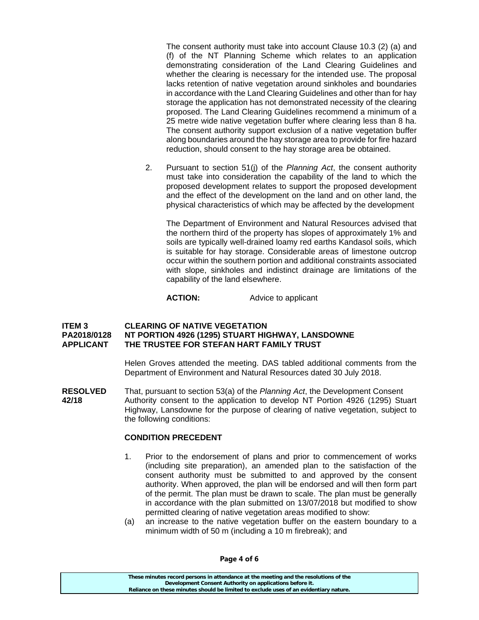The consent authority must take into account Clause 10.3 (2) (a) and (f) of the NT Planning Scheme which relates to an application demonstrating consideration of the Land Clearing Guidelines and whether the clearing is necessary for the intended use. The proposal lacks retention of native vegetation around sinkholes and boundaries in accordance with the Land Clearing Guidelines and other than for hay storage the application has not demonstrated necessity of the clearing proposed. The Land Clearing Guidelines recommend a minimum of a 25 metre wide native vegetation buffer where clearing less than 8 ha. The consent authority support exclusion of a native vegetation buffer along boundaries around the hay storage area to provide for fire hazard reduction, should consent to the hay storage area be obtained.

2. Pursuant to section 51(j) of the *Planning Act*, the consent authority must take into consideration the capability of the land to which the proposed development relates to support the proposed development and the effect of the development on the land and on other land, the physical characteristics of which may be affected by the development

 The Department of Environment and Natural Resources advised that the northern third of the property has slopes of approximately 1% and soils are typically well-drained loamy red earths Kandasol soils, which is suitable for hay storage. Considerable areas of limestone outcrop occur within the southern portion and additional constraints associated with slope, sinkholes and indistinct drainage are limitations of the capability of the land elsewhere.

#### **ACTION:** Advice to applicant

#### **ITEM 3 CLEARING OF NATIVE VEGETATION PA2018/0128 NT PORTION 4926 (1295) STUART HIGHWAY, LANSDOWNE APPLICANT THE TRUSTEE FOR STEFAN HART FAMILY TRUST**

Helen Groves attended the meeting. DAS tabled additional comments from the Department of Environment and Natural Resources dated 30 July 2018.

**RESOLVED** That, pursuant to section 53(a) of the *Planning Act*, the Development Consent **42/18** Authority consent to the application to develop NT Portion 4926 (1295) Stuart Highway, Lansdowne for the purpose of clearing of native vegetation, subject to the following conditions:

#### **CONDITION PRECEDENT**

- 1. Prior to the endorsement of plans and prior to commencement of works (including site preparation), an amended plan to the satisfaction of the consent authority must be submitted to and approved by the consent authority. When approved, the plan will be endorsed and will then form part of the permit. The plan must be drawn to scale. The plan must be generally in accordance with the plan submitted on 13/07/2018 but modified to show permitted clearing of native vegetation areas modified to show:
- (a) an increase to the native vegetation buffer on the eastern boundary to a minimum width of 50 m (including a 10 m firebreak); and

**Page 4 of 6** 

| These minutes record persons in attendance at the meeting and the resolutions of the  |
|---------------------------------------------------------------------------------------|
| Development Consent Authority on applications before it.                              |
| Reliance on these minutes should be limited to exclude uses of an evidentiary nature. |
|                                                                                       |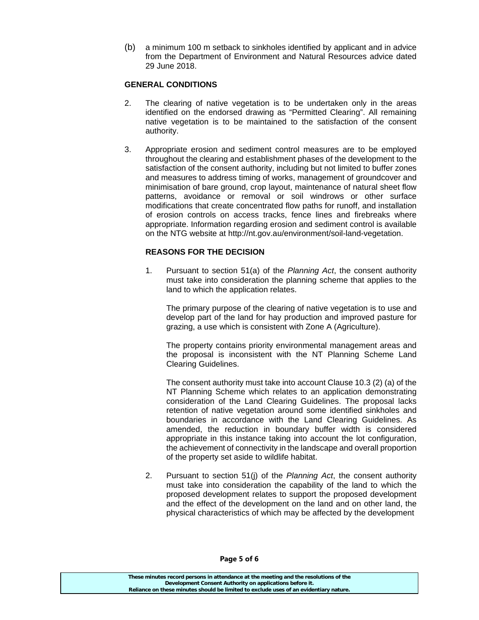(b) a minimum 100 m setback to sinkholes identified by applicant and in advice from the Department of Environment and Natural Resources advice dated 29 June 2018.

### **GENERAL CONDITIONS**

- 2. The clearing of native vegetation is to be undertaken only in the areas identified on the endorsed drawing as "Permitted Clearing". All remaining native vegetation is to be maintained to the satisfaction of the consent authority.
- 3. Appropriate erosion and sediment control measures are to be employed throughout the clearing and establishment phases of the development to the satisfaction of the consent authority, including but not limited to buffer zones and measures to address timing of works, management of groundcover and minimisation of bare ground, crop layout, maintenance of natural sheet flow patterns, avoidance or removal or soil windrows or other surface modifications that create concentrated flow paths for runoff, and installation of erosion controls on access tracks, fence lines and firebreaks where appropriate. Information regarding erosion and sediment control is available on the NTG website at http://nt.gov.au/environment/soil-land-vegetation.

### **REASONS FOR THE DECISION**

1. Pursuant to section 51(a) of the *Planning Act*, the consent authority must take into consideration the planning scheme that applies to the land to which the application relates.

 The primary purpose of the clearing of native vegetation is to use and develop part of the land for hay production and improved pasture for grazing, a use which is consistent with Zone A (Agriculture).

 The property contains priority environmental management areas and the proposal is inconsistent with the NT Planning Scheme Land Clearing Guidelines.

 The consent authority must take into account Clause 10.3 (2) (a) of the NT Planning Scheme which relates to an application demonstrating consideration of the Land Clearing Guidelines. The proposal lacks retention of native vegetation around some identified sinkholes and boundaries in accordance with the Land Clearing Guidelines. As amended, the reduction in boundary buffer width is considered appropriate in this instance taking into account the lot configuration, the achievement of connectivity in the landscape and overall proportion of the property set aside to wildlife habitat.

2. Pursuant to section 51(j) of the *Planning Act*, the consent authority must take into consideration the capability of the land to which the proposed development relates to support the proposed development and the effect of the development on the land and on other land, the physical characteristics of which may be affected by the development

#### **Page 5 of 6**